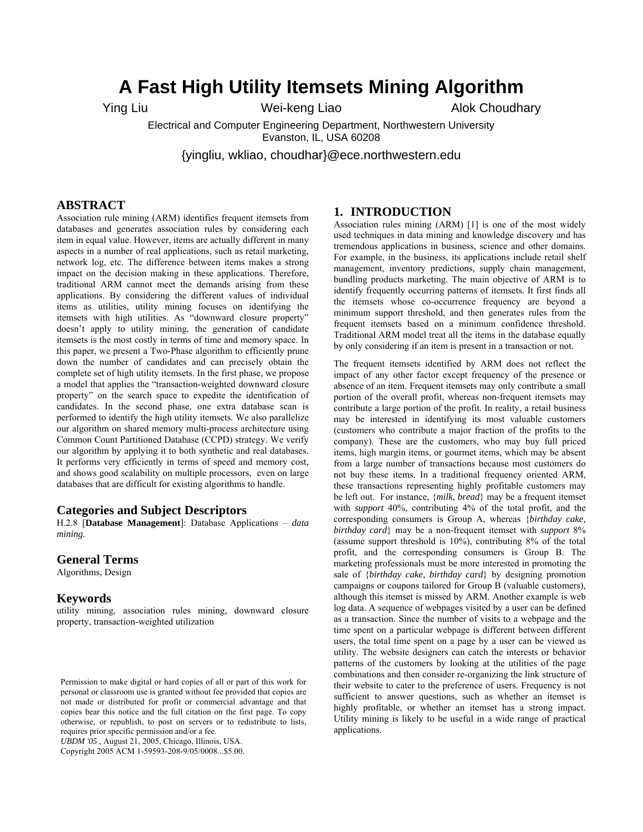# **A Fast High Utility Itemsets Mining Algorithm**

Ying Liu **Wei-keng Liao** Alok Choudhary

Electrical and Computer Engineering Department, Northwestern University Evanston, IL, USA 60208

{yingliu, wkliao, choudhar}@ece.northwestern.edu

## **ABSTRACT**

Association rule mining (ARM) identifies frequent itemsets from databases and generates association rules by considering each item in equal value. However, items are actually different in many aspects in a number of real applications, such as retail marketing, network log, etc. The difference between items makes a strong impact on the decision making in these applications. Therefore, traditional ARM cannot meet the demands arising from these applications. By considering the different values of individual items as utilities, utility mining focuses on identifying the itemsets with high utilities. As "downward closure property" doesn't apply to utility mining, the generation of candidate itemsets is the most costly in terms of time and memory space. In this paper, we present a Two-Phase algorithm to efficiently prune down the number of candidates and can precisely obtain the complete set of high utility itemsets. In the first phase, we propose a model that applies the "transaction-weighted downward closure property" on the search space to expedite the identification of candidates. In the second phase, one extra database scan is performed to identify the high utility itemsets. We also parallelize our algorithm on shared memory multi-process architecture using Common Count Partitioned Database (CCPD) strategy. We verify our algorithm by applying it to both synthetic and real databases. It performs very efficiently in terms of speed and memory cost, and shows good scalability on multiple processors, even on large databases that are difficult for existing algorithms to handle.

#### **Categories and Subject Descriptors**

H.2.8 [**Database Management**]: Database Applications – *data mining.* 

## **General Terms**

Algorithms, Design

#### **Keywords**

utility mining, association rules mining, downward closure property, transaction-weighted utilization

*UBDM '05* , August 21, 2005, Chicago, Illinois, USA.

Copyright 2005 ACM 1-59593-208-9/05/0008...\$5.00.

## **1. INTRODUCTION**

Association rules mining (ARM) [1] is one of the most widely used techniques in data mining and knowledge discovery and has tremendous applications in business, science and other domains. For example, in the business, its applications include retail shelf management, inventory predictions, supply chain management, bundling products marketing. The main objective of ARM is to identify frequently occurring patterns of itemsets. It first finds all the itemsets whose co-occurrence frequency are beyond a minimum support threshold, and then generates rules from the frequent itemsets based on a minimum confidence threshold. Traditional ARM model treat all the items in the database equally by only considering if an item is present in a transaction or not.

The frequent itemsets identified by ARM does not reflect the impact of any other factor except frequency of the presence or absence of an item. Frequent itemsets may only contribute a small portion of the overall profit, whereas non-frequent itemsets may contribute a large portion of the profit. In reality, a retail business may be interested in identifying its most valuable customers (customers who contribute a major fraction of the profits to the company). These are the customers, who may buy full priced items, high margin items, or gourmet items, which may be absent from a large number of transactions because most customers do not buy these items. In a traditional frequency oriented ARM, these transactions representing highly profitable customers may be left out. For instance, {*milk, bread*} may be a frequent itemset with *support* 40%, contributing 4% of the total profit, and the corresponding consumers is Group A, whereas {*birthday cake, birthday card*} may be a non-frequent itemset with *support* 8% (assume support threshold is 10%), contributing 8% of the total profit, and the corresponding consumers is Group B. The marketing professionals must be more interested in promoting the sale of {*birthday cake, birthday card*} by designing promotion campaigns or coupons tailored for Group B (valuable customers), although this itemset is missed by ARM. Another example is web log data. A sequence of webpages visited by a user can be defined as a transaction. Since the number of visits to a webpage and the time spent on a particular webpage is different between different users, the total time spent on a page by a user can be viewed as utility. The website designers can catch the interests or behavior patterns of the customers by looking at the utilities of the page combinations and then consider re-organizing the link structure of their website to cater to the preference of users. Frequency is not sufficient to answer questions, such as whether an itemset is highly profitable, or whether an itemset has a strong impact. Utility mining is likely to be useful in a wide range of practical applications.

Permission to make digital or hard copies of all or part of this work for personal or classroom use is granted without fee provided that copies are not made or distributed for profit or commercial advantage and that copies bear this notice and the full citation on the first page. To copy otherwise, or republish, to post on servers or to redistribute to lists, requires prior specific permission and/or a fee.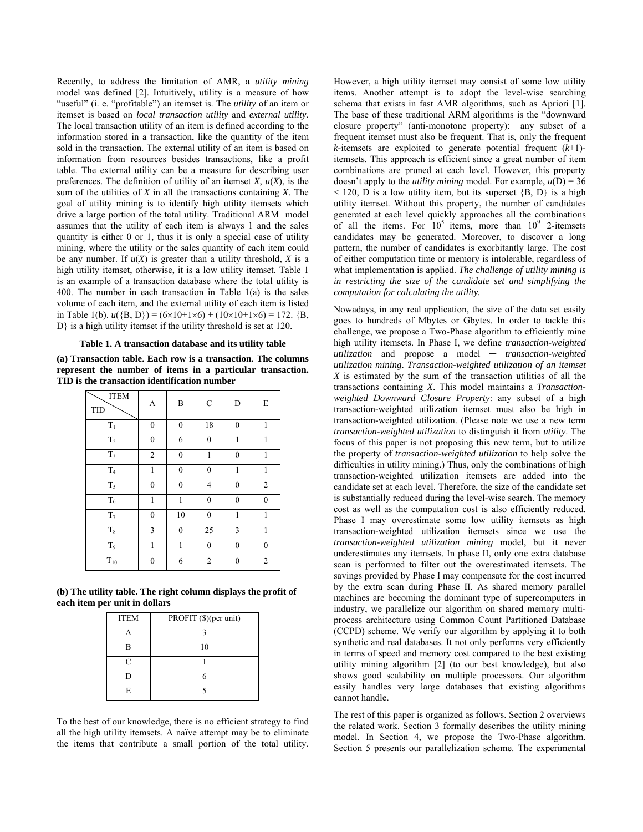Recently, to address the limitation of AMR, a *utility mining* model was defined [2]. Intuitively, utility is a measure of how "useful" (i. e. "profitable") an itemset is. The *utility* of an item or itemset is based on *local transaction utility* and *external utility*. The local transaction utility of an item is defined according to the information stored in a transaction, like the quantity of the item sold in the transaction. The external utility of an item is based on information from resources besides transactions, like a profit table. The external utility can be a measure for describing user preferences. The definition of utility of an itemset  $X$ ,  $u(X)$ , is the sum of the utilities of *X* in all the transactions containing *X*. The goal of utility mining is to identify high utility itemsets which drive a large portion of the total utility. Traditional ARM model assumes that the utility of each item is always 1 and the sales quantity is either 0 or 1, thus it is only a special case of utility mining, where the utility or the sales quantity of each item could be any number. If  $u(X)$  is greater than a utility threshold, *X* is a high utility itemset, otherwise, it is a low utility itemset. Table 1 is an example of a transaction database where the total utility is 400. The number in each transaction in Table 1(a) is the sales volume of each item, and the external utility of each item is listed in Table 1(b).  $u({B, D}) = (6 \times 10 + 1 \times 6) + (10 \times 10 + 1 \times 6) = 172$ . {B, D} is a high utility itemset if the utility threshold is set at 120.

#### **Table 1. A transaction database and its utility table**

**(a) Transaction table. Each row is a transaction. The columns represent the number of items in a particular transaction. TID is the transaction identification number** 

| <b>ITEM</b><br>TID | A                | B                | $\mathbf C$      | D                | E              |
|--------------------|------------------|------------------|------------------|------------------|----------------|
| $T_1$              | $\boldsymbol{0}$ | $\boldsymbol{0}$ | 18               | $\boldsymbol{0}$ | $\mathbf{1}$   |
| $\rm T_2$          | $\boldsymbol{0}$ | 6                | $\boldsymbol{0}$ | $\mathbf{1}$     | $\mathbf{1}$   |
| $T_3$              | $\overline{c}$   | $\boldsymbol{0}$ | 1                | $\boldsymbol{0}$ | 1              |
| $\rm T_4$          | $\mathbf{1}$     | $\boldsymbol{0}$ | $\boldsymbol{0}$ | $\mathbf{1}$     | $\mathbf{1}$   |
| $T_5$              | $\boldsymbol{0}$ | $\boldsymbol{0}$ | $\overline{4}$   | $\boldsymbol{0}$ | $\overline{c}$ |
| $\rm T_6$          | $\mathbf{1}$     | $\mathbf{1}$     | $\boldsymbol{0}$ | $\boldsymbol{0}$ | $\mathbf{0}$   |
| $T_7$              | $\boldsymbol{0}$ | 10               | $\boldsymbol{0}$ | $\mathbf{1}$     | $\mathbf{1}$   |
| $\rm T_8$          | 3                | $\boldsymbol{0}$ | 25               | 3                | $\mathbf{1}$   |
| T <sub>9</sub>     | $\mathbf{1}$     | $\mathbf{1}$     | $\boldsymbol{0}$ | $\boldsymbol{0}$ | $\mathbf{0}$   |
| $\rm T_{10}$       | $\boldsymbol{0}$ | 6                | $\sqrt{2}$       | $\boldsymbol{0}$ | $\mathfrak{2}$ |

**(b) The utility table. The right column displays the profit of each item per unit in dollars** 

| <b>ITEM</b>   | PROFIT (\$)(per unit) |
|---------------|-----------------------|
|               |                       |
| R             | 10                    |
| $\mathcal{C}$ |                       |
| D             |                       |
| F             |                       |

To the best of our knowledge, there is no efficient strategy to find all the high utility itemsets. A naïve attempt may be to eliminate the items that contribute a small portion of the total utility.

However, a high utility itemset may consist of some low utility items. Another attempt is to adopt the level-wise searching schema that exists in fast AMR algorithms, such as Apriori [1]. The base of these traditional ARM algorithms is the "downward closure property" (anti-monotone property): any subset of a frequent itemset must also be frequent. That is, only the frequent *k*-itemsets are exploited to generate potential frequent (*k*+1) itemsets. This approach is efficient since a great number of item combinations are pruned at each level. However, this property doesn't apply to the *utility mining* model. For example,  $u(D) = 36$  $<$  120, D is a low utility item, but its superset  $\{B, D\}$  is a high utility itemset. Without this property, the number of candidates generated at each level quickly approaches all the combinations of all the items. For  $10^5$  items, more than  $10^9$  2-itemsets candidates may be generated. Moreover, to discover a long pattern, the number of candidates is exorbitantly large. The cost of either computation time or memory is intolerable, regardless of what implementation is applied. *The challenge of utility mining is in restricting the size of the candidate set and simplifying the computation for calculating the utility.*

Nowadays, in any real application, the size of the data set easily goes to hundreds of Mbytes or Gbytes. In order to tackle this challenge, we propose a Two-Phase algorithm to efficiently mine high utility itemsets. In Phase I, we define *transaction-weighted utilization* and propose a model ─ *transaction-weighted utilization mining*. *Transaction-weighted utilization of an itemset X* is estimated by the sum of the transaction utilities of all the transactions containing *X*. This model maintains a *Transactionweighted Downward Closure Property*: any subset of a high transaction-weighted utilization itemset must also be high in transaction-weighted utilization. (Please note we use a new term *transaction-weighted utilization* to distinguish it from *utility*. The focus of this paper is not proposing this new term, but to utilize the property of *transaction-weighted utilization* to help solve the difficulties in utility mining.) Thus, only the combinations of high transaction-weighted utilization itemsets are added into the candidate set at each level. Therefore, the size of the candidate set is substantially reduced during the level-wise search. The memory cost as well as the computation cost is also efficiently reduced. Phase I may overestimate some low utility itemsets as high transaction-weighted utilization itemsets since we use the *transaction-weighted utilization mining* model, but it never underestimates any itemsets. In phase II, only one extra database scan is performed to filter out the overestimated itemsets. The savings provided by Phase I may compensate for the cost incurred by the extra scan during Phase II. As shared memory parallel machines are becoming the dominant type of supercomputers in industry, we parallelize our algorithm on shared memory multiprocess architecture using Common Count Partitioned Database (CCPD) scheme. We verify our algorithm by applying it to both synthetic and real databases. It not only performs very efficiently in terms of speed and memory cost compared to the best existing utility mining algorithm [2] (to our best knowledge), but also shows good scalability on multiple processors. Our algorithm easily handles very large databases that existing algorithms cannot handle.

The rest of this paper is organized as follows. Section 2 overviews the related work. Section 3 formally describes the utility mining model. In Section 4, we propose the Two-Phase algorithm. Section 5 presents our parallelization scheme. The experimental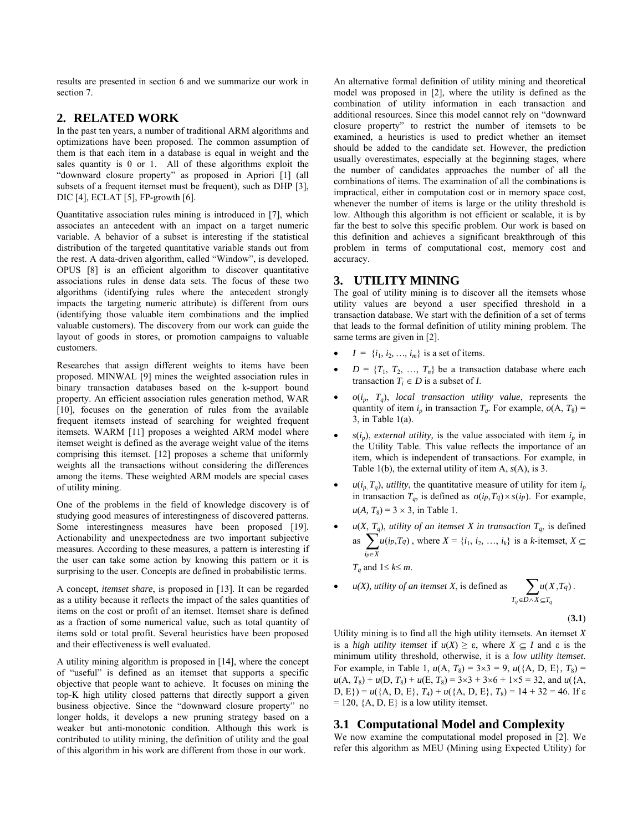results are presented in section 6 and we summarize our work in section 7.

## **2. RELATED WORK**

In the past ten years, a number of traditional ARM algorithms and optimizations have been proposed. The common assumption of them is that each item in a database is equal in weight and the sales quantity is 0 or 1. All of these algorithms exploit the "downward closure property" as proposed in Apriori [1] (all subsets of a frequent itemset must be frequent), such as DHP [3], DIC [4], ECLAT [5], FP-growth [6].

Quantitative association rules mining is introduced in [7], which associates an antecedent with an impact on a target numeric variable. A behavior of a subset is interesting if the statistical distribution of the targeted quantitative variable stands out from the rest. A data-driven algorithm, called "Window", is developed. OPUS [8] is an efficient algorithm to discover quantitative associations rules in dense data sets. The focus of these two algorithms (identifying rules where the antecedent strongly impacts the targeting numeric attribute) is different from ours (identifying those valuable item combinations and the implied valuable customers). The discovery from our work can guide the layout of goods in stores, or promotion campaigns to valuable customers.

Researches that assign different weights to items have been proposed. MINWAL [9] mines the weighted association rules in binary transaction databases based on the k-support bound property. An efficient association rules generation method, WAR [10], focuses on the generation of rules from the available frequent itemsets instead of searching for weighted frequent itemsets. WARM [11] proposes a weighted ARM model where itemset weight is defined as the average weight value of the items comprising this itemset. [12] proposes a scheme that uniformly weights all the transactions without considering the differences among the items. These weighted ARM models are special cases of utility mining.

One of the problems in the field of knowledge discovery is of studying good measures of interestingness of discovered patterns. Some interestingness measures have been proposed [19]. Actionability and unexpectedness are two important subjective measures. According to these measures, a pattern is interesting if the user can take some action by knowing this pattern or it is surprising to the user. Concepts are defined in probabilistic terms.

A concept, *itemset share*, is proposed in [13]. It can be regarded as a utility because it reflects the impact of the sales quantities of items on the cost or profit of an itemset. Itemset share is defined as a fraction of some numerical value, such as total quantity of items sold or total profit. Several heuristics have been proposed and their effectiveness is well evaluated.

A utility mining algorithm is proposed in [14], where the concept of "useful" is defined as an itemset that supports a specific objective that people want to achieve. It focuses on mining the top-K high utility closed patterns that directly support a given business objective. Since the "downward closure property" no longer holds, it develops a new pruning strategy based on a weaker but anti-monotonic condition. Although this work is contributed to utility mining, the definition of utility and the goal of this algorithm in his work are different from those in our work.

An alternative formal definition of utility mining and theoretical model was proposed in [2], where the utility is defined as the combination of utility information in each transaction and additional resources. Since this model cannot rely on "downward closure property" to restrict the number of itemsets to be examined, a heuristics is used to predict whether an itemset should be added to the candidate set. However, the prediction usually overestimates, especially at the beginning stages, where the number of candidates approaches the number of all the combinations of items. The examination of all the combinations is impractical, either in computation cost or in memory space cost, whenever the number of items is large or the utility threshold is low. Although this algorithm is not efficient or scalable, it is by far the best to solve this specific problem. Our work is based on this definition and achieves a significant breakthrough of this problem in terms of computational cost, memory cost and accuracy.

#### **3. UTILITY MINING**

The goal of utility mining is to discover all the itemsets whose utility values are beyond a user specified threshold in a transaction database. We start with the definition of a set of terms that leads to the formal definition of utility mining problem. The same terms are given in [2].

- $I = \{i_1, i_2, ..., i_m\}$  is a set of items.
- $D = \{T_1, T_2, ..., T_n\}$  be a transaction database where each transaction  $T_i \in D$  is a subset of *I*.
- $o(i_p, T_q)$ , *local transaction utility value*, represents the quantity of item  $i_p$  in transaction  $T_q$ . For example,  $o(A, T_8)$  =  $3$ , in Table 1(a).
- $s(i_p)$ , *external utility*, is the value associated with item  $i_p$  in the Utility Table. This value reflects the importance of an item, which is independent of transactions. For example, in Table 1(b), the external utility of item A, *s*(A), is 3.
- $u(i_p, T_q)$ , *utility*, the quantitative measure of utility for item  $i_p$ in transaction  $T_q$ , is defined as  $o(i_p, T_q) \times s(i_p)$ . For example,  $u(A, T_8) = 3 \times 3$ , in Table 1.
- $u(X, T_q)$ , *utility of an itemset X in transaction*  $T_q$ , is defined as  $\sum_{i_p \in X}$  $u(i_p, T_q)$ , where  $X = \{i_1, i_2, ..., i_k\}$  is a *k*-itemset,  $X \subseteq$ *p T<sub>q</sub>* and  $1 \leq k \leq m$ .
- *u(X), utility of an itemset X,* is defined as  $\sum$ *Tq*∈*D*∧*X* ⊆*Tq*  $u(X, T_q)$ .

$$
(\mathbf{3.1})
$$

Utility mining is to find all the high utility itemsets. An itemset *X* is a *high utility itemset* if  $u(X) \ge \varepsilon$ , where  $X \subseteq I$  and  $\varepsilon$  is the minimum utility threshold, otherwise, it is a *low utility itemset*. For example, in Table 1,  $u(A, T_8) = 3 \times 3 = 9$ ,  $u({A, D, E}, T_8) =$  $u(A, T_8) + u(D, T_8) + u(E, T_8) = 3 \times 3 + 3 \times 6 + 1 \times 5 = 32$ , and  $u({A,$ D, E}) = *u*({A, D, E}, *T*<sub>4</sub>) + *u*({A, D, E}, *T*<sub>8</sub>) = 14 + 32 = 46. If ε  $= 120, \{A, D, E\}$  is a low utility itemset.

### **3.1 Computational Model and Complexity**

We now examine the computational model proposed in [2]. We refer this algorithm as MEU (Mining using Expected Utility) for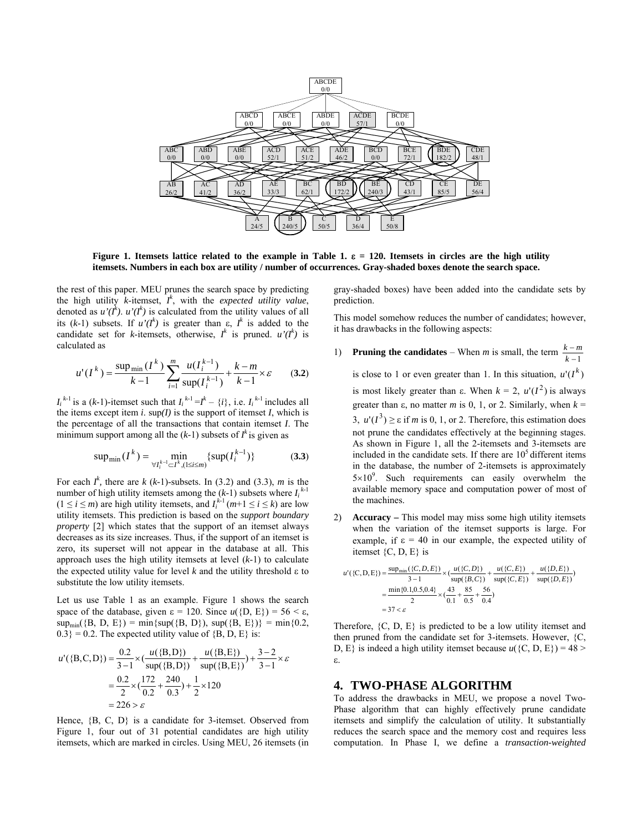

**Figure 1. Itemsets lattice related to the example in Table 1.** ε **= 120. Itemsets in circles are the high utility itemsets. Numbers in each box are utility / number of occurrences. Gray-shaded boxes denote the search space.** 

the rest of this paper. MEU prunes the search space by predicting the high utility  $k$ -itemset,  $I^k$ , with the *expected utility value*, denoted as  $u'(I^k)$ .  $u'(I^k)$  is calculated from the utility values of all its  $(k-1)$  subsets. If  $u'(I^k)$  is greater than  $\varepsilon$ ,  $I^k$  is added to the candidate set for *k*-itemsets, otherwise,  $I^k$  is pruned.  $u^i(I^k)$  is calculated as

$$
u'(I^{k}) = \frac{\sup_{\min} (I^{k})}{k-1} \sum_{i=1}^{m} \frac{u(I^{k-1}_{i})}{\sup(I^{k-1}_{i})} + \frac{k-m}{k-1} \times \varepsilon
$$
 (3.2)

 $I_i^{k-1}$  is a (*k*-1)-itemset such that  $I_i^{k-1} = I^k - \{i\}$ , i.e.  $I_i^{k-1}$  includes all the items except item *i*.  $\sup(I)$  is the support of itemset *I*, which is the percentage of all the transactions that contain itemset *I*. The minimum support among all the  $(k-1)$  subsets of  $I^k$  is given as

$$
\sup_{\min} (I^k) = \min_{\forall I_i^{k-1} \subset I^k, (1 \le i \le m)} \{ \sup(I_i^{k-1}) \}
$$
(3.3)

For each  $I^k$ , there are  $k$  ( $k-1$ )-subsets. In (3.2) and (3.3),  $m$  is the number of high utility itemsets among the  $(k-1)$  subsets where  $I_i^{k-1}$  $(1 \le i \le m)$  are high utility itemsets, and  $I_i^{k-1}$  ( $m+1 \le i \le k$ ) are low utility itemsets. This prediction is based on the *support boundary property* [2] which states that the support of an itemset always decreases as its size increases. Thus, if the support of an itemset is zero, its superset will not appear in the database at all. This approach uses the high utility itemsets at level (*k*-1) to calculate the expected utility value for level *k* and the utility threshold ε to substitute the low utility itemsets.

Let us use Table 1 as an example. Figure 1 shows the search space of the database, given  $\varepsilon = 120$ . Since  $u({D, E}) = 56 < \varepsilon$ ,  $\sup_{\min}(\{B, D, E\}) = \min\{\sup(\{B, D\}), \sup(\{B, E\})\} = \min\{0.2,$  $0.3$ } = 0.2. The expected utility value of  ${B, D, E}$  is:

$$
u'(\{B,C,D\}) = \frac{0.2}{3-1} \times \left(\frac{u(\{B,D\})}{\sup(\{B,D\})} + \frac{u(\{B,E\})}{\sup(\{B,E\})}\right) + \frac{3-2}{3-1} \times \varepsilon
$$
  
= 
$$
\frac{0.2}{2} \times \left(\frac{172}{0.2} + \frac{240}{0.3}\right) + \frac{1}{2} \times 120
$$
  
= 226 > \varepsilon

Hence,  $\{B, C, D\}$  is a candidate for 3-itemset. Observed from Figure 1, four out of 31 potential candidates are high utility itemsets, which are marked in circles. Using MEU, 26 itemsets (in gray-shaded boxes) have been added into the candidate sets by prediction.

This model somehow reduces the number of candidates; however, it has drawbacks in the following aspects:

- 1) **Pruning the candidates** When *m* is small, the term  $\frac{k-m}{k-1}$ *k k m*
	- is close to 1 or even greater than 1. In this situation,  $u'(I^k)$ is most likely greater than  $\varepsilon$ . When  $k = 2$ ,  $u'(I^2)$  is always greater than  $\varepsilon$ , no matter *m* is 0, 1, or 2. Similarly, when  $k =$ 3,  $u'(I^3) \ge \varepsilon$  if *m* is 0, 1, or 2. Therefore, this estimation does not prune the candidates effectively at the beginning stages. As shown in Figure 1, all the 2-itemsets and 3-itemsets are included in the candidate sets. If there are  $10<sup>5</sup>$  different items in the database, the number of 2-itemsets is approximately  $5 \times 10^9$ . Such requirements can easily overwhelm the available memory space and computation power of most of the machines.
- 2) **Accuracy –** This model may miss some high utility itemsets when the variation of the itemset supports is large. For example, if  $\varepsilon = 40$  in our example, the expected utility of itemset  $\{C, D, E\}$  is

$$
u'(\{C, D, E\}) = \frac{\sup_{\text{min}} \left(\{C, D, E\}\right)}{3 - 1} \times \left(\frac{u(\{C, D\})}{\sup(\{B, C\})} + \frac{u(\{C, E\})}{\sup(\{C, E\})} + \frac{u(\{D, E\})}{\sup(\{D, E\})}\right)
$$

$$
= \frac{\min\{0.1, 0.5, 0.4\}}{2} \times \left(\frac{43}{0.1} + \frac{85}{0.5} + \frac{56}{0.4}\right)
$$

$$
= 37 < \varepsilon
$$

Therefore,  $\{C, D, E\}$  is predicted to be a low utility itemset and then pruned from the candidate set for 3-itemsets. However, {C, D, E} is indeed a high utility itemset because  $u({C, D, E}) = 48 >$ ε.

#### **4. TWO-PHASE ALGORITHM**

To address the drawbacks in MEU, we propose a novel Two-Phase algorithm that can highly effectively prune candidate itemsets and simplify the calculation of utility. It substantially reduces the search space and the memory cost and requires less computation. In Phase I, we define a *transaction-weighted*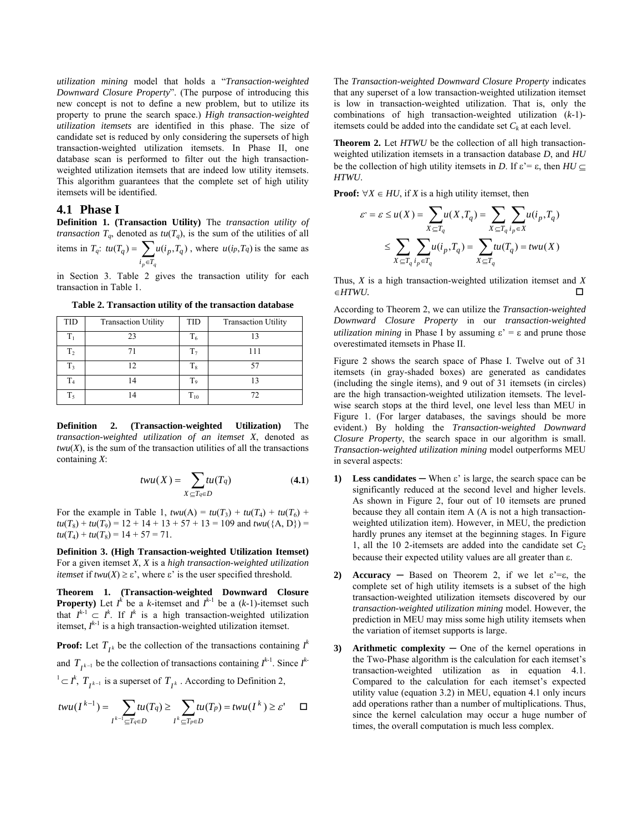*utilization mining* model that holds a "*Transaction-weighted Downward Closure Property*". (The purpose of introducing this new concept is not to define a new problem, but to utilize its property to prune the search space.) *High transaction-weighted utilization itemsets* are identified in this phase. The size of candidate set is reduced by only considering the supersets of high transaction-weighted utilization itemsets. In Phase II, one database scan is performed to filter out the high transactionweighted utilization itemsets that are indeed low utility itemsets. This algorithm guarantees that the complete set of high utility itemsets will be identified.

#### **4.1 Phase I**

**Definition 1. (Transaction Utility)** The *transaction utility of transaction*  $T_q$ , denoted as  $tu(T_q)$ , is the sum of the utilities of all items in  $T_q$ :  $tu(T_q) = \sum_{i_p \in T_q} u(i_p, T_q)$ , where  $u(i_p, T_q)$  is the same as  $i_p \in T_q$  $tau(T_q) = \sum u(i_p, T_q)$ , where  $u(i_p, T_q)$ 

in Section 3. Table 2 gives the transaction utility for each transaction in Table 1.

| TID            | <b>Transaction Utility</b> | <b>TID</b>     | <b>Transaction Utility</b> |
|----------------|----------------------------|----------------|----------------------------|
| $T_1$          | つろ                         | $T_6$          |                            |
| T <sub>2</sub> |                            | T7             | 111                        |
| T <sub>3</sub> | 12                         | $T_8$          |                            |
| T <sub>4</sub> | 4                          | T <sub>9</sub> |                            |
| $T_5$          |                            | $T_{10}$       | 72                         |

**Table 2. Transaction utility of the transaction database** 

**Definition 2. (Transaction-weighted Utilization)** The *transaction-weighted utilization of an itemset X*, denoted as  $t w u(X)$ , is the sum of the transaction utilities of all the transactions containing *X*:

$$
twu(X) = \sum_{X \subseteq T_q \in D} tu(T_q) \tag{4.1}
$$

For the example in Table 1,  $t w u(A) = t u(T_3) + t u(T_4) + t u(T_6) +$  $tu(T_8) + tu(T_9) = 12 + 14 + 13 + 57 + 13 = 109$  and  $twu({A, D})$  $tu(T_4) + tu(T_8) = 14 + 57 = 71.$ 

**Definition 3. (High Transaction-weighted Utilization Itemset)**  For a given itemset *X*, *X* is a *high transaction-weighted utilization itemset* if  $twa(X) \ge \varepsilon'$ , where  $\varepsilon'$  is the user specified threshold.

**Theorem 1. (Transaction-weighted Downward Closure Property**) Let  $I^k$  be a *k*-itemset and  $I^{k-1}$  be a (*k*-1)-itemset such that  $I^{k-1} \subset I^k$ . If  $I^k$  is a high transaction-weighted utilization itemset,  $I^{k-1}$  is a high transaction-weighted utilization itemset.

**Proof:** Let  $T_{ik}$  be the collection of the transactions containing  $I^k$ and  $T_{I^{k-1}}$  be the collection of transactions containing  $I^{k-1}$ . Since  $I^{k-1}$  $T^1 \subset I^k$ ,  $T_{I^{k-1}}$  is a superset of  $T_{I^k}$ . According to Definition 2,

$$
twu(I^{k-1}) = \sum_{I^{k-1} \subseteq T_q \in D} tu(T_q) \ge \sum_{I^k \subseteq T_p \in D} tu(T_p) = twu(I^k) \ge \varepsilon' \quad \Box
$$

The *Transaction-weighted Downward Closure Property* indicates that any superset of a low transaction-weighted utilization itemset is low in transaction-weighted utilization. That is, only the combinations of high transaction-weighted utilization (*k*-1) itemsets could be added into the candidate set  $C_k$  at each level.

**Theorem 2.** Let *HTWU* be the collection of all high transactionweighted utilization itemsets in a transaction database *D*, and *HU* be the collection of high utility itemsets in *D*. If  $\varepsilon' = \varepsilon$ , then  $HU \subset$ *HTWU*.

**Proof:**  $\forall X \in HU$ , if *X* is a high utility itemset, then

$$
\begin{aligned} \varepsilon^{\circ} = \varepsilon \leq u(X) = \sum_{X \subseteq T_q} & u(X,T_q) = \sum_{X \subseteq T_q} \sum_{i_p \in X} u(i_p,T_q) \\ \leq \sum_{X \subseteq T_q} \sum_{i_p \in T_q} u(i_p,T_q) = \sum_{X \subseteq T_q} tu(T_q) = twu(X) \end{aligned}
$$

Thus, *X* is a high transaction-weighted utilization itemset and *X* ∈*HTWU.* 

According to Theorem 2, we can utilize the *Transaction-weighted Downward Closure Property* in our *transaction-weighted utilization mining* in Phase I by assuming  $\varepsilon' = \varepsilon$  and prune those overestimated itemsets in Phase II.

Figure 2 shows the search space of Phase I. Twelve out of 31 itemsets (in gray-shaded boxes) are generated as candidates (including the single items), and 9 out of 31 itemsets (in circles) are the high transaction-weighted utilization itemsets. The levelwise search stops at the third level, one level less than MEU in Figure 1. (For larger databases, the savings should be more evident.) By holding the *Transaction-weighted Downward Closure Property*, the search space in our algorithm is small. *Transaction-weighted utilization mining* model outperforms MEU in several aspects:

- **1)** Less candidates When  $\varepsilon$ ' is large, the search space can be significantly reduced at the second level and higher levels. As shown in Figure 2, four out of 10 itemsets are pruned because they all contain item A (A is not a high transactionweighted utilization item). However, in MEU, the prediction hardly prunes any itemset at the beginning stages. In Figure 1, all the 10 2-itemsets are added into the candidate set  $C_2$ because their expected utility values are all greater than ε.
- **2) Accuracy** Based on Theorem 2, if we let  $\varepsilon^2 = \varepsilon$ , the complete set of high utility itemsets is a subset of the high transaction-weighted utilization itemsets discovered by our *transaction-weighted utilization mining* model. However, the prediction in MEU may miss some high utility itemsets when the variation of itemset supports is large.
- **3)** Arithmetic complexity One of the kernel operations in the Two-Phase algorithm is the calculation for each itemset's transaction-weighted utilization as in equation 4.1. Compared to the calculation for each itemset's expected utility value (equation 3.2) in MEU, equation 4.1 only incurs add operations rather than a number of multiplications. Thus, since the kernel calculation may occur a huge number of times, the overall computation is much less complex.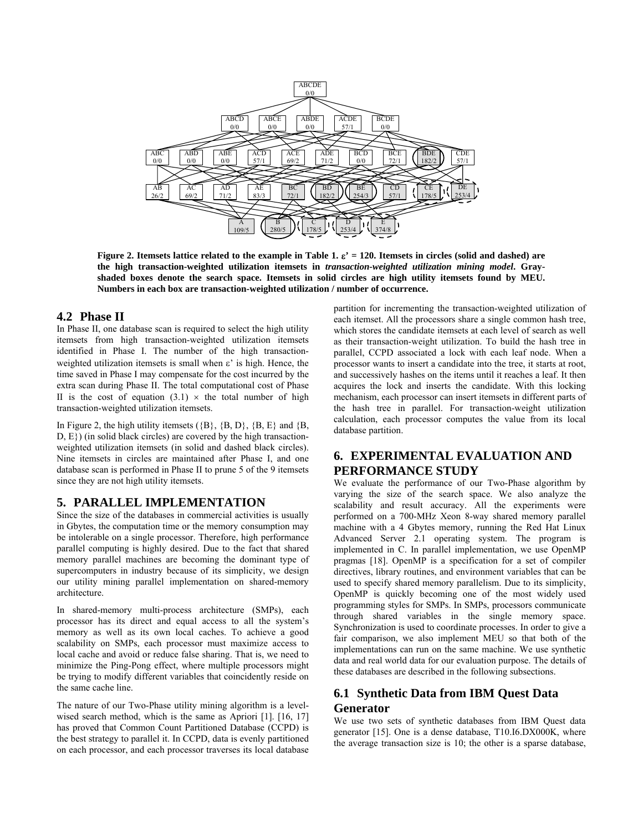

**Figure 2. Itemsets lattice related to the example in Table 1.** ε**' = 120. Itemsets in circles (solid and dashed) are the high transaction-weighted utilization itemsets in** *transaction***-***weighted utilization mining model***. Grayshaded boxes denote the search space. Itemsets in solid circles are high utility itemsets found by MEU. Numbers in each box are transaction-weighted utilization / number of occurrence.** 

#### **4.2 Phase II**

In Phase II, one database scan is required to select the high utility itemsets from high transaction-weighted utilization itemsets identified in Phase I. The number of the high transactionweighted utilization itemsets is small when ε' is high. Hence, the time saved in Phase I may compensate for the cost incurred by the extra scan during Phase II. The total computational cost of Phase II is the cost of equation  $(3.1) \times$  the total number of high transaction-weighted utilization itemsets.

In Figure 2, the high utility itemsets  $({B}, {B}, D)$ ,  ${B}, E$  and  ${B}$ , D, E}) (in solid black circles) are covered by the high transactionweighted utilization itemsets (in solid and dashed black circles). Nine itemsets in circles are maintained after Phase I, and one database scan is performed in Phase II to prune 5 of the 9 itemsets since they are not high utility itemsets.

## **5. PARALLEL IMPLEMENTATION**

Since the size of the databases in commercial activities is usually in Gbytes, the computation time or the memory consumption may be intolerable on a single processor. Therefore, high performance parallel computing is highly desired. Due to the fact that shared memory parallel machines are becoming the dominant type of supercomputers in industry because of its simplicity, we design our utility mining parallel implementation on shared-memory architecture.

In shared-memory multi-process architecture (SMPs), each processor has its direct and equal access to all the system's memory as well as its own local caches. To achieve a good scalability on SMPs, each processor must maximize access to local cache and avoid or reduce false sharing. That is, we need to minimize the Ping-Pong effect, where multiple processors might be trying to modify different variables that coincidently reside on the same cache line.

The nature of our Two-Phase utility mining algorithm is a levelwised search method, which is the same as Apriori [1]. [16, 17] has proved that Common Count Partitioned Database (CCPD) is the best strategy to parallel it. In CCPD, data is evenly partitioned on each processor, and each processor traverses its local database

partition for incrementing the transaction-weighted utilization of each itemset. All the processors share a single common hash tree, which stores the candidate itemsets at each level of search as well as their transaction-weight utilization. To build the hash tree in parallel, CCPD associated a lock with each leaf node. When a processor wants to insert a candidate into the tree, it starts at root, and successively hashes on the items until it reaches a leaf. It then acquires the lock and inserts the candidate. With this locking mechanism, each processor can insert itemsets in different parts of the hash tree in parallel. For transaction-weight utilization calculation, each processor computes the value from its local database partition.

## **6. EXPERIMENTAL EVALUATION AND PERFORMANCE STUDY**

We evaluate the performance of our Two-Phase algorithm by varying the size of the search space. We also analyze the scalability and result accuracy. All the experiments were performed on a 700-MHz Xeon 8-way shared memory parallel machine with a 4 Gbytes memory, running the Red Hat Linux Advanced Server 2.1 operating system. The program is implemented in C. In parallel implementation, we use OpenMP pragmas [18]. OpenMP is a specification for a set of compiler directives, library routines, and environment variables that can be used to specify shared memory parallelism. Due to its simplicity, OpenMP is quickly becoming one of the most widely used programming styles for SMPs. In SMPs, processors communicate through shared variables in the single memory space. Synchronization is used to coordinate processes. In order to give a fair comparison, we also implement MEU so that both of the implementations can run on the same machine. We use synthetic data and real world data for our evaluation purpose. The details of these databases are described in the following subsections.

## **6.1 Synthetic Data from IBM Quest Data Generator**

We use two sets of synthetic databases from IBM Quest data generator [15]. One is a dense database, T10.I6.DX000K, where the average transaction size is 10; the other is a sparse database,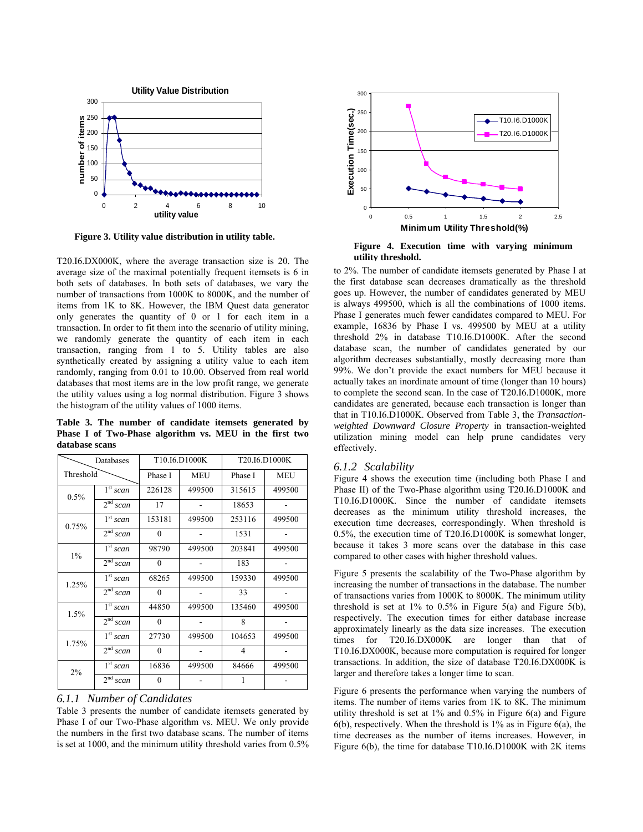

**Figure 3. Utility value distribution in utility table.** 

**utility threshold.** T20.I6.DX000K, where the average transaction size is 20. The average size of the maximal potentially frequent itemsets is 6 in both sets of databases. In both sets of databases, we vary the number of transactions from 1000K to 8000K, and the number of items from 1K to 8K. However, the IBM Quest data generator only generates the quantity of 0 or 1 for each item in a transaction. In order to fit them into the scenario of utility mining, we randomly generate the quantity of each item in each transaction, ranging from 1 to 5. Utility tables are also synthetically created by assigning a utility value to each item randomly, ranging from 0.01 to 10.00. Observed from real world databases that most items are in the low profit range, we generate the utility values using a log normal distribution. Figure 3 shows the histogram of the utility values of 1000 items.

**Table 3. The number of candidate itemsets generated by Phase I of Two-Phase algorithm vs. MEU in the first two database scans** 

| Databases |                              |              | T10.I6.D1000K | T20.I6.D1000K |            |
|-----------|------------------------------|--------------|---------------|---------------|------------|
| Threshold |                              | Phase I      | <b>MEU</b>    | Phase I       | <b>MEU</b> |
| 0.5%      | 1 <sup>st</sup> scan         | 226128       | 499500        | 315615        | 499500     |
|           | 2 <sup>nd</sup> scan         | 17           |               | 18653         |            |
| 0.75%     | $\overline{1}^{\rm st}$ scan | 153181       | 499500        | 253116        | 499500     |
|           | 2 <sup>nd</sup> scan         | $\Omega$     |               | 1531          |            |
| $1\%$     | 1 <sup>st</sup> scan         | 98790        | 499500        | 203841        | 499500     |
|           | 2 <sup>nd</sup> scan         | $\mathbf{0}$ |               | 183           |            |
| 1.25%     | 1 <sup>st</sup> scan         | 68265        | 499500        | 159330        | 499500     |
|           | 2 <sup>nd</sup> scan         | $\mathbf{0}$ |               | 33            |            |
| 1.5%      | 1 <sup>st</sup> scan         | 44850        | 499500        | 135460        | 499500     |
|           | 2 <sup>nd</sup> scan         | $\theta$     |               | 8             |            |
| 1.75%     | 1 <sup>st</sup> scan         | 27730        | 499500        | 104653        | 499500     |
|           | 2 <sup>nd</sup> scan         | $\mathbf{0}$ |               | 4             |            |
| 2%        | 1 <sup>st</sup> scan         | 16836        | 499500        | 84666         | 499500     |
|           | 2 <sup>nd</sup> scan         | $\mathbf{0}$ |               | 1             |            |

#### *6.1.1 Number of Candidates*

Table 3 presents the number of candidate itemsets generated by Phase I of our Two-Phase algorithm vs. MEU. We only provide the numbers in the first two database scans. The number of items is set at 1000, and the minimum utility threshold varies from 0.5%



**Figure 4. Execution time with varying minimum** 

to 2%. The number of candidate itemsets generated by Phase I at the first database scan decreases dramatically as the threshold goes up. However, the number of candidates generated by MEU is always 499500, which is all the combinations of 1000 items. Phase I generates much fewer candidates compared to MEU. For example, 16836 by Phase I vs. 499500 by MEU at a utility threshold 2% in database T10.I6.D1000K. After the second database scan, the number of candidates generated by our algorithm decreases substantially, mostly decreasing more than 99%. We don't provide the exact numbers for MEU because it actually takes an inordinate amount of time (longer than 10 hours) to complete the second scan. In the case of T20.I6.D1000K, more candidates are generated, because each transaction is longer than that in T10.I6.D1000K. Observed from Table 3, the *Transactionweighted Downward Closure Property* in transaction-weighted utilization mining model can help prune candidates very effectively.

#### *6.1.2 Scalability*

Figure 4 shows the execution time (including both Phase I and Phase II) of the Two-Phase algorithm using T20.I6.D1000K and T10.I6.D1000K. Since the number of candidate itemsets decreases as the minimum utility threshold increases, the execution time decreases, correspondingly. When threshold is 0.5%, the execution time of T20.I6.D1000K is somewhat longer, because it takes 3 more scans over the database in this case compared to other cases with higher threshold values.

Figure 5 presents the scalability of the Two-Phase algorithm by increasing the number of transactions in the database. The number of transactions varies from 1000K to 8000K. The minimum utility threshold is set at  $1\%$  to  $0.5\%$  in Figure 5(a) and Figure 5(b), respectively. The execution times for either database increase approximately linearly as the data size increases. The execution times for T20.I6.DX000K are longer than that of T10.I6.DX000K, because more computation is required for longer transactions. In addition, the size of database T20.I6.DX000K is larger and therefore takes a longer time to scan.

Figure 6 presents the performance when varying the numbers of items. The number of items varies from 1K to 8K. The minimum utility threshold is set at  $1\%$  and  $0.5\%$  in Figure 6(a) and Figure  $6(b)$ , respectively. When the threshold is  $1\%$  as in Figure 6(a), the time decreases as the number of items increases. However, in Figure 6(b), the time for database T10.I6.D1000K with 2K items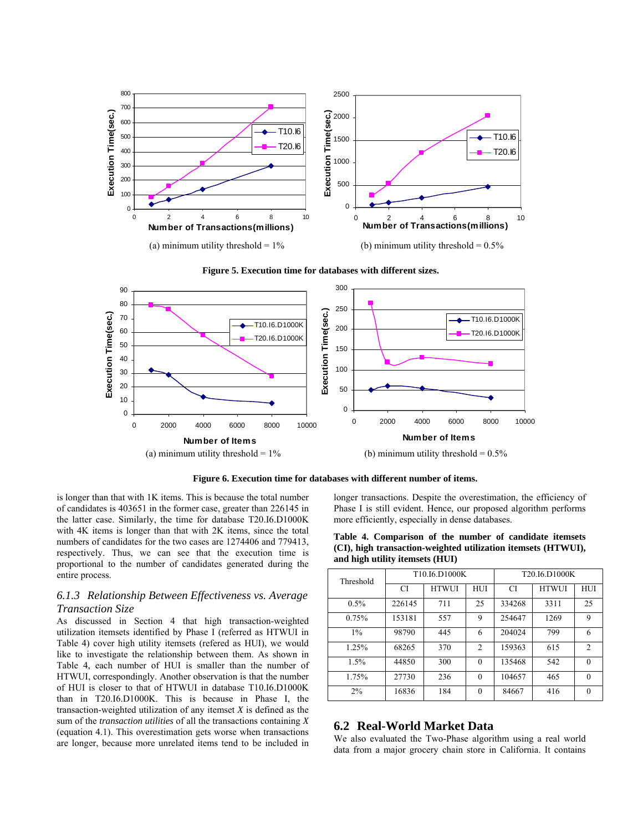

**Figure 5. Execution time for databases with different sizes.**



**Figure 6. Execution time for databases with different number of items.**

is longer than that with 1K items. This is because the total number of candidates is 403651 in the former case, greater than 226145 in the latter case. Similarly, the time for database T20.I6.D1000K with 4K items is longer than that with 2K items, since the total numbers of candidates for the two cases are 1274406 and 779413, respectively. Thus, we can see that the execution time is proportional to the number of candidates generated during the entire process.

#### *6.1.3 Relationship Between Effectiveness vs. Average Transaction Size*

As discussed in Section 4 that high transaction-weighted utilization itemsets identified by Phase I (referred as HTWUI in Table 4) cover high utility itemsets (refered as HUI), we would like to investigate the relationship between them. As shown in Table 4, each number of HUI is smaller than the number of HTWUI, correspondingly. Another observation is that the number of HUI is closer to that of HTWUI in database T10.I6.D1000K than in T20.I6.D1000K. This is because in Phase I, the transaction-weighted utilization of any itemset *X* is defined as the sum of the *transaction utilities* of all the transactions containing *X*  (equation 4.1). This overestimation gets worse when transactions are longer, because more unrelated items tend to be included in

longer transactions. Despite the overestimation, the efficiency of Phase I is still evident. Hence, our proposed algorithm performs more efficiently, especially in dense databases.

|                                 |  |  |  | Table 4. Comparison of the number of candidate itemsets       |  |
|---------------------------------|--|--|--|---------------------------------------------------------------|--|
|                                 |  |  |  | (CI), high transaction-weighted utilization itemsets (HTWUI), |  |
| and high utility itemsets (HUI) |  |  |  |                                                               |  |

| Threshold |        | T <sub>10</sub> I <sub>6</sub> D <sub>1000</sub> K | T20.16.D1000K |        |              |          |
|-----------|--------|----------------------------------------------------|---------------|--------|--------------|----------|
|           | CI     | <b>HTWUI</b>                                       | HUI           | CI     | <b>HTWUI</b> | HUI      |
| 0.5%      | 226145 | 711                                                | 25            | 334268 | 3311         | 25       |
| 0.75%     | 153181 | 557                                                | 9             | 254647 | 1269         | 9        |
| $1\%$     | 98790  | 445                                                | 6             | 204024 | 799          | 6        |
| 1.25%     | 68265  | 370                                                | 2             | 159363 | 615          | 2        |
| 1.5%      | 44850  | 300                                                | $\theta$      | 135468 | 542          | $\theta$ |
| 1.75%     | 27730  | 236                                                | $\Omega$      | 104657 | 465          | $\theta$ |
| 2%        | 16836  | 184                                                | $\Omega$      | 84667  | 416          | $\Omega$ |

#### **6.2 Real-World Market Data**

We also evaluated the Two-Phase algorithm using a real world data from a major grocery chain store in California. It contains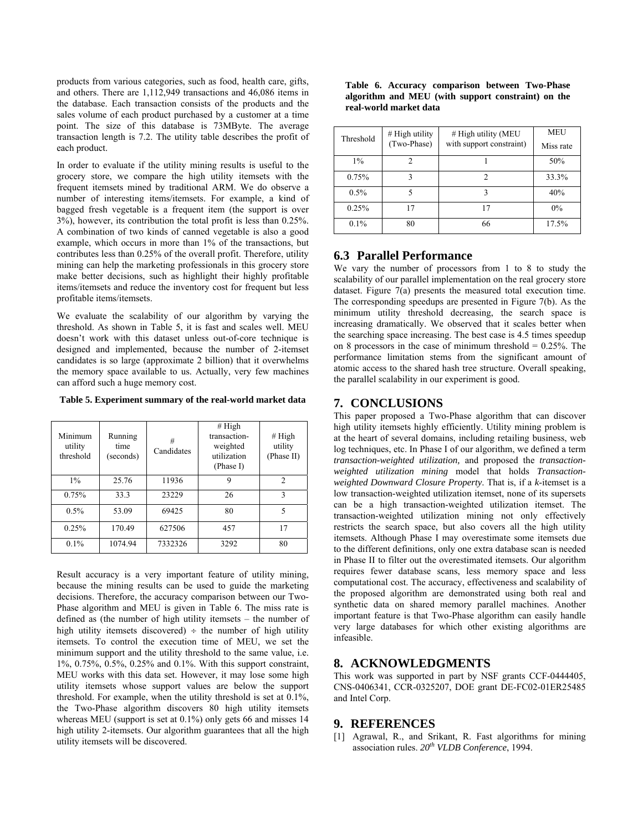products from various categories, such as food, health care, gifts, and others. There are 1,112,949 transactions and 46,086 items in the database. Each transaction consists of the products and the sales volume of each product purchased by a customer at a time point. The size of this database is 73MByte. The average transaction length is 7.2. The utility table describes the profit of each product.

In order to evaluate if the utility mining results is useful to the grocery store, we compare the high utility itemsets with the frequent itemsets mined by traditional ARM. We do observe a number of interesting items/itemsets. For example, a kind of bagged fresh vegetable is a frequent item (the support is over 3%), however, its contribution the total profit is less than 0.25%. A combination of two kinds of canned vegetable is also a good example, which occurs in more than 1% of the transactions, but contributes less than 0.25% of the overall profit. Therefore, utility mining can help the marketing professionals in this grocery store make better decisions, such as highlight their highly profitable items/itemsets and reduce the inventory cost for frequent but less profitable items/itemsets.

We evaluate the scalability of our algorithm by varying the threshold. As shown in Table 5, it is fast and scales well. MEU doesn't work with this dataset unless out-of-core technique is designed and implemented, because the number of 2-itemset candidates is so large (approximate 2 billion) that it overwhelms the memory space available to us. Actually, very few machines can afford such a huge memory cost.

**Table 5. Experiment summary of the real-world market data** 

| Minimum<br>utility<br>threshold | Running<br>time<br>(seconds) | #<br>Candidates | # High<br>transaction-<br>weighted<br>utilization<br>(Phase I) | # High<br>utility<br>(Phase II) |
|---------------------------------|------------------------------|-----------------|----------------------------------------------------------------|---------------------------------|
| $1\%$                           | 25.76                        | 11936           | 9                                                              | $\overline{2}$                  |
| 0.75%                           | 33.3                         | 23229           | 26                                                             | 3                               |
| 0.5%                            | 53.09                        | 69425           | 80                                                             | $\overline{\phantom{0}}$        |
| 0.25%                           | 170.49                       | 627506          | 457                                                            | 17                              |
| 0.1%                            | 1074.94                      | 7332326         | 3292                                                           | 80                              |

Result accuracy is a very important feature of utility mining, because the mining results can be used to guide the marketing decisions. Therefore, the accuracy comparison between our Two-Phase algorithm and MEU is given in Table 6. The miss rate is defined as (the number of high utility itemsets – the number of high utility itemsets discovered)  $\div$  the number of high utility itemsets. To control the execution time of MEU, we set the minimum support and the utility threshold to the same value, i.e. 1%, 0.75%, 0.5%, 0.25% and 0.1%. With this support constraint, MEU works with this data set. However, it may lose some high utility itemsets whose support values are below the support threshold. For example, when the utility threshold is set at 0.1%, the Two-Phase algorithm discovers 80 high utility itemsets whereas MEU (support is set at  $0.1\%$ ) only gets 66 and misses 14 high utility 2-itemsets. Our algorithm guarantees that all the high utility itemsets will be discovered.

|                        | Table 6. Accuracy comparison between Two-Phase     |  |
|------------------------|----------------------------------------------------|--|
|                        | algorithm and MEU (with support constraint) on the |  |
| real-world market data |                                                    |  |

| Threshold | $#$ High utility<br>(Two-Phase) | # High utility (MEU<br>with support constraint) | <b>MEU</b><br>Miss rate |
|-----------|---------------------------------|-------------------------------------------------|-------------------------|
| $1\%$     |                                 |                                                 | 50%                     |
| 0.75%     |                                 |                                                 | 33.3%                   |
| $0.5\%$   |                                 |                                                 | 40%                     |
| 0.25%     | 17                              | 17                                              | $0\%$                   |
| $0.1\%$   | 80                              | 66                                              | 17.5%                   |

## **6.3 Parallel Performance**

We vary the number of processors from 1 to 8 to study the scalability of our parallel implementation on the real grocery store dataset. Figure 7(a) presents the measured total execution time. The corresponding speedups are presented in Figure 7(b). As the minimum utility threshold decreasing, the search space is increasing dramatically. We observed that it scales better when the searching space increasing. The best case is 4.5 times speedup on 8 processors in the case of minimum threshold =  $0.25\%$ . The performance limitation stems from the significant amount of atomic access to the shared hash tree structure. Overall speaking, the parallel scalability in our experiment is good.

## **7. CONCLUSIONS**

This paper proposed a Two-Phase algorithm that can discover high utility itemsets highly efficiently. Utility mining problem is at the heart of several domains, including retailing business, web log techniques, etc. In Phase I of our algorithm, we defined a term *transaction-weighted utilization,* and proposed the *transactionweighted utilization mining* model that holds *Transactionweighted Downward Closure Property*. That is, if a *k*-itemset is a low transaction-weighted utilization itemset, none of its supersets can be a high transaction-weighted utilization itemset. The transaction-weighted utilization mining not only effectively restricts the search space, but also covers all the high utility itemsets. Although Phase I may overestimate some itemsets due to the different definitions, only one extra database scan is needed in Phase II to filter out the overestimated itemsets. Our algorithm requires fewer database scans, less memory space and less computational cost. The accuracy, effectiveness and scalability of the proposed algorithm are demonstrated using both real and synthetic data on shared memory parallel machines. Another important feature is that Two-Phase algorithm can easily handle very large databases for which other existing algorithms are infeasible.

## **8. ACKNOWLEDGMENTS**

This work was supported in part by NSF grants CCF-0444405, CNS-0406341, CCR-0325207, DOE grant DE-FC02-01ER25485 and Intel Corp.

### **9. REFERENCES**

[1] Agrawal, R., and Srikant, R. Fast algorithms for mining association rules. *20th VLDB Conference*, 1994.